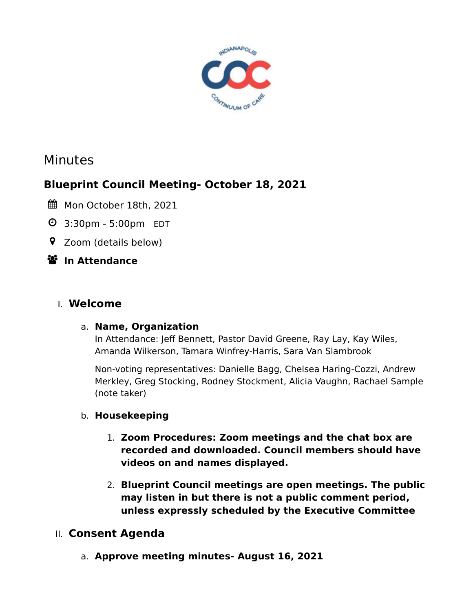

# Minutes

# **Blueprint Council Meeting- October 18, 2021**

- Mon October 18th, 2021
- 3:30pm 5:00pm EDT
- Zoom (details below)
- **In Attendance**

# I. **Welcome**

### a. **Name, Organization**

In Attendance: Jeff Bennett, Pastor David Greene, Ray Lay, Kay Wiles, Amanda Wilkerson, Tamara Winfrey-Harris, Sara Van Slambrook

Non-voting representatives: Danielle Bagg, Chelsea Haring-Cozzi, Andrew Merkley, Greg Stocking, Rodney Stockment, Alicia Vaughn, Rachael Sample (note taker)

### b. **Housekeeping**

- 1. **Zoom Procedures: Zoom meetings and the chat box are recorded and downloaded. Council members should have videos on and names displayed.**
- 2. **Blueprint Council meetings are open meetings. The public may listen in but there is not a public comment period, unless expressly scheduled by the Executive Committee**

# II. **Consent Agenda**

a. **Approve meeting minutes- August 16, 2021**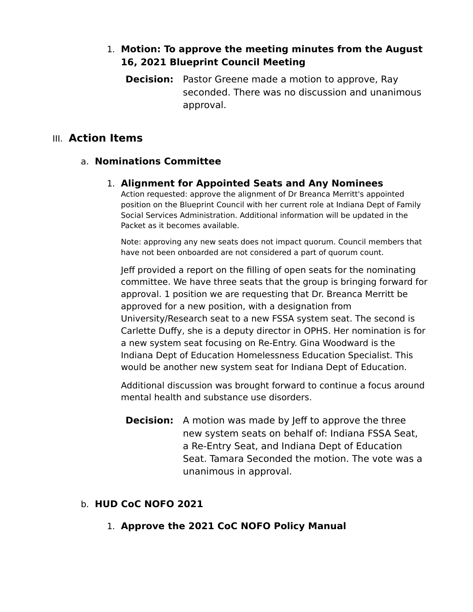### 1. **Motion: To approve the meeting minutes from the August 16, 2021 Blueprint Council Meeting**

**Decision:** Pastor Greene made a motion to approve, Ray seconded. There was no discussion and unanimous approval.

#### III. **Action Items**

#### a. **Nominations Committee**

#### 1. **Alignment for Appointed Seats and Any Nominees**

Action requested: approve the alignment of Dr Breanca Merritt's appointed position on the Blueprint Council with her current role at Indiana Dept of Family Social Services Administration. Additional information will be updated in the Packet as it becomes available.

Note: approving any new seats does not impact quorum. Council members that have not been onboarded are not considered a part of quorum count.

Jeff provided a report on the filling of open seats for the nominating committee. We have three seats that the group is bringing forward for approval. 1 position we are requesting that Dr. Breanca Merritt be approved for a new position, with a designation from University/Research seat to a new FSSA system seat. The second is Carlette Duffy, she is a deputy director in OPHS. Her nomination is for a new system seat focusing on Re-Entry. Gina Woodward is the Indiana Dept of Education Homelessness Education Specialist. This would be another new system seat for Indiana Dept of Education.

Additional discussion was brought forward to continue a focus around mental health and substance use disorders.

**Decision:** A motion was made by Jeff to approve the three new system seats on behalf of: Indiana FSSA Seat, a Re-Entry Seat, and Indiana Dept of Education Seat. Tamara Seconded the motion. The vote was a unanimous in approval.

#### b. **HUD CoC NOFO 2021**

1. **Approve the 2021 CoC NOFO Policy Manual**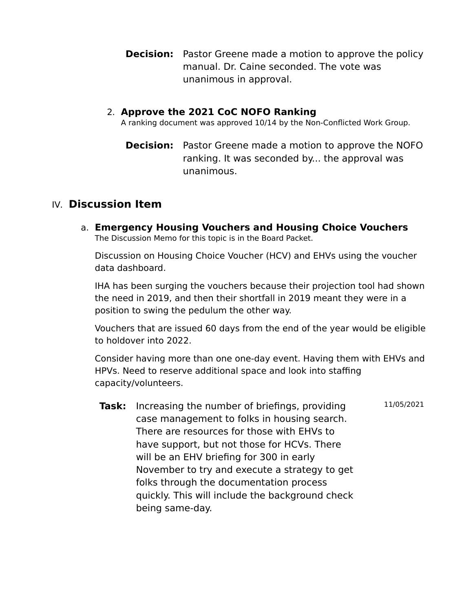**Decision:** Pastor Greene made a motion to approve the policy manual. Dr. Caine seconded. The vote was unanimous in approval.

#### 2. **Approve the 2021 CoC NOFO Ranking**

A ranking document was approved 10/14 by the Non-Conflicted Work Group.

**Decision:** Pastor Greene made a motion to approve the NOFO ranking. It was seconded by... the approval was unanimous.

### IV. **Discussion Item**

a. **Emergency Housing Vouchers and Housing Choice Vouchers** The Discussion Memo for this topic is in the Board Packet.

Discussion on Housing Choice Voucher (HCV) and EHVs using the voucher data dashboard.

IHA has been surging the vouchers because their projection tool had shown the need in 2019, and then their shortfall in 2019 meant they were in a position to swing the pedulum the other way.

Vouchers that are issued 60 days from the end of the year would be eligible to holdover into 2022.

Consider having more than one one-day event. Having them with EHVs and HPVs. Need to reserve additional space and look into staffing capacity/volunteers.

**Task:** Increasing the number of briefings, providing case management to folks in housing search. There are resources for those with EHVs to have support, but not those for HCVs. There will be an EHV briefing for 300 in early November to try and execute a strategy to get folks through the documentation process quickly. This will include the background check being same-day. 11/05/2021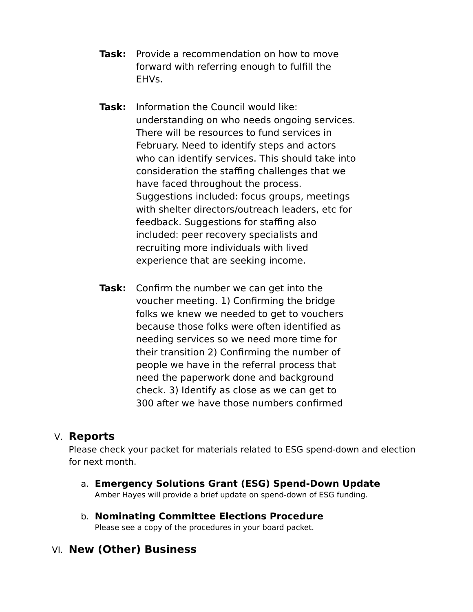- **Task:** Provide a recommendation on how to move forward with referring enough to fulfill the EHVs.
- **Task:** Information the Council would like: understanding on who needs ongoing services. There will be resources to fund services in February. Need to identify steps and actors who can identify services. This should take into consideration the staffing challenges that we have faced throughout the process. Suggestions included: focus groups, meetings with shelter directors/outreach leaders, etc for feedback. Suggestions for staffing also included: peer recovery specialists and recruiting more individuals with lived experience that are seeking income.
- **Task:** Confirm the number we can get into the voucher meeting. 1) Confirming the bridge folks we knew we needed to get to vouchers because those folks were often identified as needing services so we need more time for their transition 2) Confirming the number of people we have in the referral process that need the paperwork done and background check. 3) Identify as close as we can get to 300 after we have those numbers confirmed

### V. **Reports**

Please check your packet for materials related to ESG spend-down and election for next month.

- a. **Emergency Solutions Grant (ESG) Spend-Down Update** Amber Hayes will provide a brief update on spend-down of ESG funding.
- b. **Nominating Committee Elections Procedure** Please see a copy of the procedures in your board packet.

# VI. **New (Other) Business**